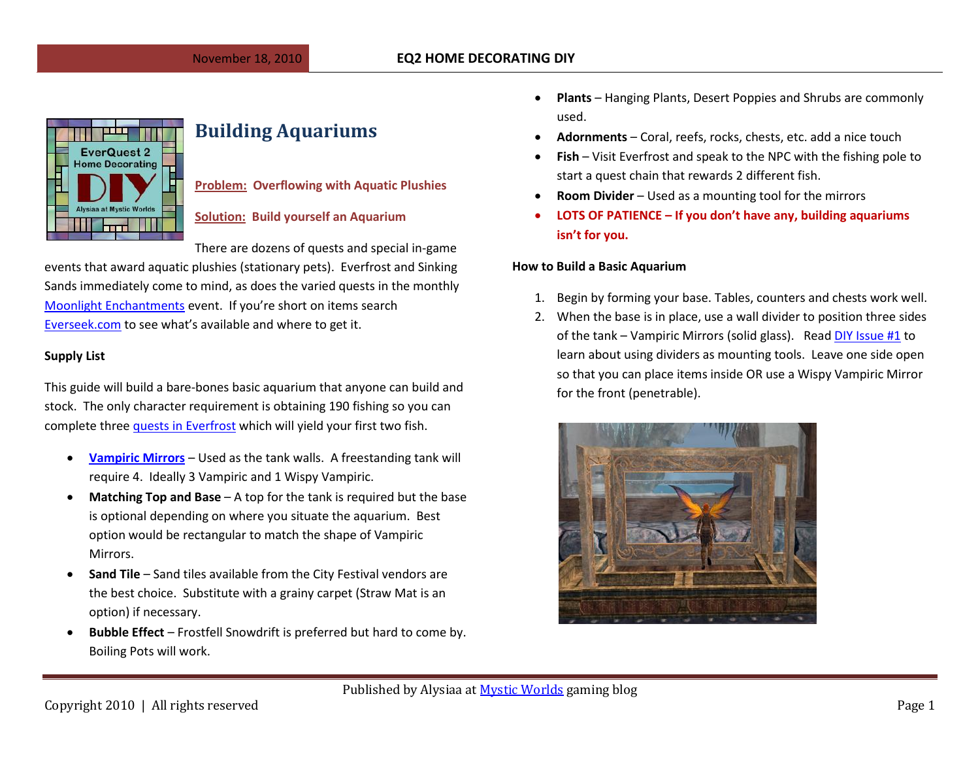

# **Building Aquariums**

### **Problem: Overflowing with Aquatic Plushies**

### **Solution: Build yourself an Aquarium**

There are dozens of quests and special in-game

events that award aquatic plushies (stationary pets). Everfrost and Sinking Sands immediately come to mind, as does the varied quests in the monthly [Moonlight Enchantments](http://eq2.zam.com/wiki/Moonlight_Enchantments_(EQ2_Live_Event)) event. If you're short on items search [Everseek.com](http://everseek.com/) to see what's available and where to get it.

#### **Supply List**

This guide will build a bare-bones basic aquarium that anyone can build and stock. The only character requirement is obtaining 190 fishing so you can complete three [quests in Everfrost](http://eq2.wikia.com/wiki/Cull_the_Threat_to_the_Pioneers) which will yield your first two fish.

- **[Vampiric Mirrors](http://everseek.com/main.php?search_item=vampiric+mirror)** Used as the tank walls. A freestanding tank will require 4. Ideally 3 Vampiric and 1 Wispy Vampiric.
- **Matching Top and Base** A top for the tank is required but the base is optional depending on where you situate the aquarium. Best option would be rectangular to match the shape of Vampiric Mirrors.
- **Sand Tile** Sand tiles available from the City Festival vendors are the best choice. Substitute with a grainy carpet (Straw Mat is an option) if necessary.
- **Bubble Effect** Frostfell Snowdrift is preferred but hard to come by. Boiling Pots will work.
- **Plants**  Hanging Plants, Desert Poppies and Shrubs are commonly used.
- **Adornments** Coral, reefs, rocks, chests, etc. add a nice touch
- **Fish** Visit Everfrost and speak to the NPC with the fishing pole to start a quest chain that rewards 2 different fish.
- **Room Divider** Used as a mounting tool for the mirrors
- **LOTS OF PATIENCE – If you don't have any, building aquariums isn't for you.**

#### **How to Build a Basic Aquarium**

- 1. Begin by forming your base. Tables, counters and chests work well.
- 2. When the base is in place, use a wall divider to position three sides of the tank – Vampiric Mirrors (solid glass). Rea[d DIY Issue #1](http://notadiary.typepad.com/DYI_Issues/MysticWorlds%20-%20EQ2%20Decorating%20DYI%20-%20Kelethin%20Kitchen%20Make.pdf) to learn about using dividers as mounting tools. Leave one side open so that you can place items inside OR use a Wispy Vampiric Mirror for the front (penetrable).

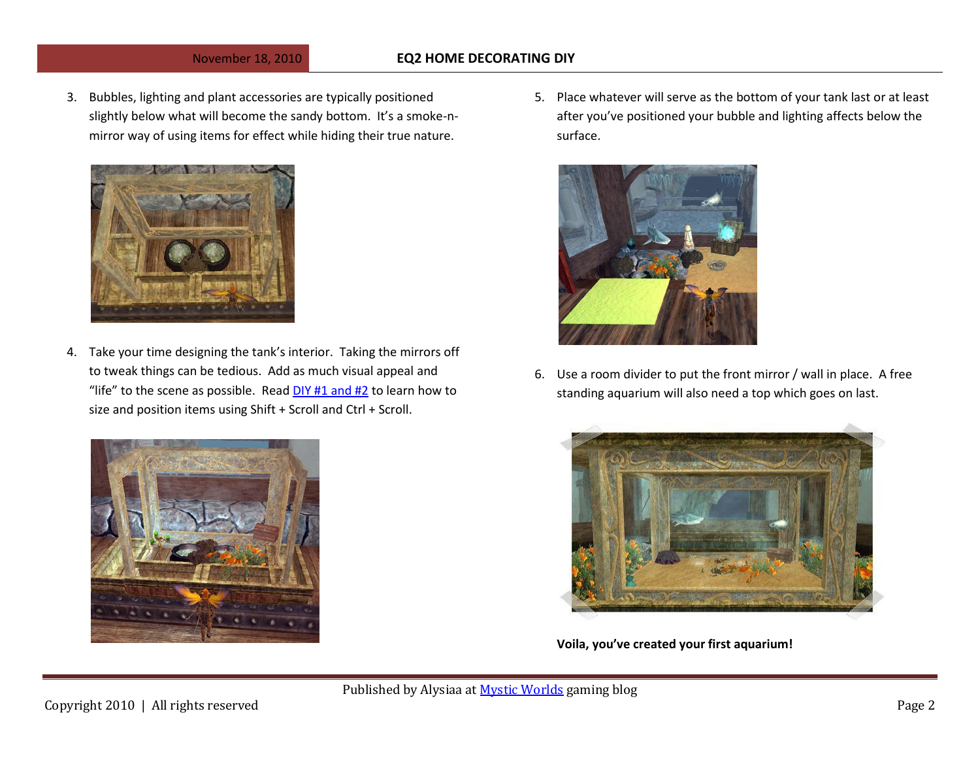## November 18, 2010 **EQ2 HOME DECORATING DIY**

3. Bubbles, lighting and plant accessories are typically positioned slightly below what will become the sandy bottom. It's a smoke-nmirror way of using items for effect while hiding their true nature.



4. Take your time designing the tank's interior. Taking the mirrors off to tweak things can be tedious. Add as much visual appeal and "life" to the scene as possible. Rea[d DIY #1 and #2](http://notadiary.typepad.com/mystic_worlds_diy/) to learn how to size and position items using Shift + Scroll and Ctrl + Scroll.





6. Use a room divider to put the front mirror / wall in place. A free standing aquarium will also need a top which goes on last.



**Voila, you've created your first aquarium!**